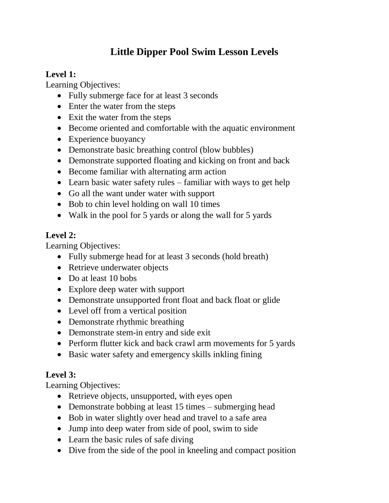# **Little Dipper Pool Swim Lesson Levels**

## **Level 1:**

Learning Objectives:

- Fully submerge face for at least 3 seconds
- Enter the water from the steps
- Exit the water from the steps
- Become oriented and comfortable with the aquatic environment
- Experience buoyancy
- Demonstrate basic breathing control (blow bubbles)
- Demonstrate supported floating and kicking on front and back
- Become familiar with alternating arm action
- Learn basic water safety rules familiar with ways to get help
- Go all the want under water with support
- Bob to chin level holding on wall 10 times
- Walk in the pool for 5 yards or along the wall for 5 yards

### **Level 2:**

Learning Objectives:

- Fully submerge head for at least 3 seconds (hold breath)
- Retrieve underwater objects
- Do at least 10 bobs
- Explore deep water with support
- Demonstrate unsupported front float and back float or glide
- Level off from a vertical position
- Demonstrate rhythmic breathing
- Demonstrate stem-in entry and side exit
- Perform flutter kick and back crawl arm movements for 5 yards
- Basic water safety and emergency skills inkling fining

#### **Level 3:**

Learning Objectives:

- Retrieve objects, unsupported, with eyes open
- Demonstrate bobbing at least 15 times submerging head
- Bob in water slightly over head and travel to a safe area
- Jump into deep water from side of pool, swim to side
- Learn the basic rules of safe diving
- Dive from the side of the pool in kneeling and compact position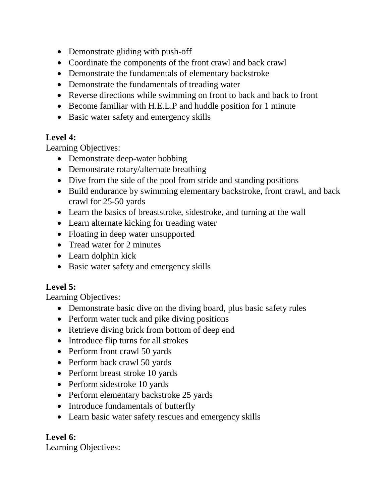- Demonstrate gliding with push-off
- Coordinate the components of the front crawl and back crawl
- Demonstrate the fundamentals of elementary backstroke
- Demonstrate the fundamentals of treading water
- Reverse directions while swimming on front to back and back to front
- Become familiar with H.E.L.P and huddle position for 1 minute
- Basic water safety and emergency skills

#### **Level 4:**

Learning Objectives:

- Demonstrate deep-water bobbing
- Demonstrate rotary/alternate breathing
- Dive from the side of the pool from stride and standing positions
- Build endurance by swimming elementary backstroke, front crawl, and back crawl for 25-50 yards
- Learn the basics of breaststroke, sidestroke, and turning at the wall
- Learn alternate kicking for treading water
- Floating in deep water unsupported
- Tread water for 2 minutes
- Learn dolphin kick
- Basic water safety and emergency skills

#### **Level 5:**

Learning Objectives:

- Demonstrate basic dive on the diving board, plus basic safety rules
- Perform water tuck and pike diving positions
- Retrieve diving brick from bottom of deep end
- Introduce flip turns for all strokes
- Perform front crawl 50 yards
- Perform back crawl 50 yards
- Perform breast stroke 10 yards
- Perform sidestroke 10 yards
- Perform elementary backstroke 25 yards
- Introduce fundamentals of butterfly
- Learn basic water safety rescues and emergency skills

## **Level 6:**

Learning Objectives: